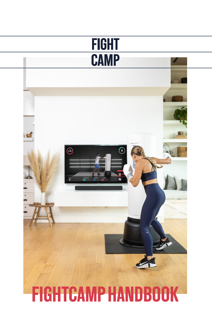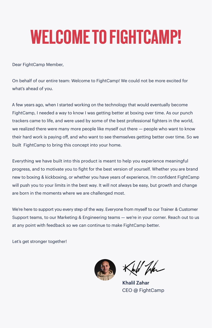# WELCOME TO FIGHTCAMP!

Dear FightCamp Member,

On behalf of our entire team: Welcome to FightCamp! We could not be more excited for what's ahead of you.

A few years ago, when I started working on the technology that would eventually become FightCamp, I needed a way to know I was getting better at boxing over time. As our punch trackers came to life, and were used by some of the best professional fighters in the world, we realized there were many more people like myself out there — people who want to know their hard work is paying off, and who want to see themselves getting better over time. So we built FightCamp to bring this concept into your home.

Everything we have built into this product is meant to help you experience meaningful progress, and to motivate you to fight for the best version of yourself. Whether you are brand new to boxing & kickboxing, or whether you have years of experience, I'm confident FightCamp will push you to your limits in the best way. It will not always be easy, but growth and change are born in the moments where we are challenged most.

We're here to support you every step of the way. Everyone from myself to our Trainer & Customer Support teams, to our Marketing & Engineering teams - we're in your corner. Reach out to us at any point with feedback so we can continue to make FightCamp better.

Let's get stronger together!



por

Khalil Zahar CEO @ FightCamp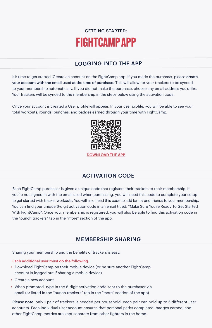# GETTING STARTED: FIGHTCAMP APP

# LOGGING INTO THE APP

It's time to get started. Create an account on the FightCamp app. If you made the purchase, please create your account with the email used at the time of purchase. This will allow for your trackers to be synced to your membership automatically. If you did not make the purchase, choose any email address you'd like. Your trackers will be synced to the membership in the steps below using the activation code.

Once your account is created a User profile will appear. In your user profile, you will be able to see your total workouts, rounds, punches, and badges earned through your time with FightCamp.



DOWNLOAD THE APP

# ACTIVATION CODE

Each FightCamp purchaser is given a unique code that registers their trackers to their membership. If you're not signed in with the email used when purchasing, you will need this code to complete your setup to get started with tracker workouts. You will also need this code to add family and friends to your membership. You can find your unique 6-digit activation code in an email titled, "Make Sure You're Ready To Get Started With FightCamp". Once your membership is registered, you will also be able to find this activation code in the "punch trackers" tab in the "more" section of the app.

# MEMBERSHIP SHARING

Sharing your membership and the benefits of trackers is easy.

#### Each additional user must do the following:

- Download FightCamp on their mobile device (or be sure another FightCamp account is logged out if sharing a mobile device)
- Create a new account
- When prompted, type in the 6-digit activation code sent to the purchaser via email (or listed in the "punch trackers" tab in the "more" section of the app)

Please note: only 1 pair of trackers is needed per household; each pair can hold up to 5 different user accounts. Each individual user account ensures that personal paths completed, badges earned, and other FightCamp metrics are kept separate from other fighters in the home.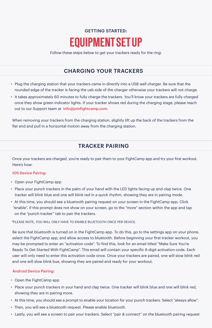# GETTING STARTED: EQUIPMENT SET UP

Follow these steps below to get your trackers ready for the ring:

# CHARGING YOUR TRACKERS

- Plug the charging station that your trackers came in directly into a USB wall charger. Be sure that the rounded edge of the tracker is facing the usb side of the charger otherwise your trackers will not charge.
- It takes approximately 60 minutes to fully charge the trackers. You'll know your trackers are fully charged once they show green indicator lights. If your tracker shows red during the charging stage, please reach out to our Support team at info@joinfightcamp.com.

When removing your trackers from the charging station, slightly lift up the back of the trackers from the flat end and pull in a horizontal motion away from the charging station.

## TRACKER PAIRING

Once your trackers are charged, you're ready to pair them to your FightCamp app and try your first workout. Here's how:

#### iOS Device Pairing:

- Open your FightCamp app
- Place your punch trackers in the palm of your hand with the LED lights facing up and clap twice. One tracker will blink blue and one will blink red in a quick rhythm, showing they are in pairing mode.
- At this time, you should see a bluetooth pairing request on your screen in the FightCamp app. Click "enable". If this prompt does not show on your screen, go to the "more" section within the app and tap on the "punch tracker" tab to pair the trackers.

\*PLEASE NOTE, YOU WILL ONLY HAVE TO ENABLE BLUETOOTH ONCE PER DEVICE.

Be sure that bluetooth is turned on in the FightCamp app. To do this, go to the settings app on your phone, select the FightCamp app, and allow access to bluetooth. Before beginning your first tracker workout, you may be prompted to enter an "activation code". To find this, look for an email titled "Make Sure You're Ready To Get Started With FightCamp". This email will contain your specific 6-digit activation code. Each user will only need to enter this activation code once. Once your trackers are paired, one will slow blink red and one will slow blink bue, showing they are paired and ready for your workout.

#### Android Device Pairing:

- Open the FightCamp app
- Place your punch trackers in your hand and clap twice. One tracker will blink blue and one will blink red, showing they are in pairing more.
- At this time, you should see a prompt to enable your location for your punch trackers. Select "always allow".
- Then, you will see a bluetooth request. Please enable bluetooth.
- Lastly, you will see a screen to pair your trackers. Select "pair & connect" on the bluetooth pairing request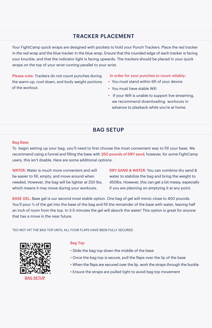#### TRACKER PLACEMENT

Your FightCamp quick wraps are designed with pockets to hold your Punch Trackers. Place the red tracker in the red wrap and the blue tracker in the blue wrap. Ensure that the rounded edge of each tracker is facing your knuckle, and that the indicator light is facing upwards. The trackers should be placed in your quick wraps on the top of your wrist running parallel to your wrist.

Please note: Trackers do not count punches during the warm-up, cool down, and body weight portions of the workout.

#### In order for your punches to count reliably:

- You must stand within 6ft of your device
- You must have stable Wifi
- If your Wifi is unable to support live streaming, we recommend downloading workouts in advance to playback while you're at home.

# BAG SETUP

#### Bag Base

To begin setting up your bag, you'll need to first choose the most convenient way to fill your base. We recommend using a funnel and filling the base with 350 pounds of DRY sand; however, for some FightCamp users, this isn't doable. Here are some additional options:

WATER: Water is much more convenient and will be easier to fill, empty, and move around when needed. However, the bag will be lighter at 250 lbs, which means it may move during your workouts.

DRY SAND & WATER: You can combine dry sand & water to stabilize the bag and bring the weight to 450lbs. However, this can get a bit messy, especially if you are planning on emptying it at any point.

BASE GEL: Base gel is our second most stable option. One bag of gel will mimic close to 400 pounds. You'll pour ⅔ of the gel into the base of the bag and fill the remainder of the base with water, leaving half an inch of room from the top. In 3-5 minutes the gel will absorb the water! This option is great for anyone that has a move in the near future.

\*DO NOT HIT THE BAG TOP UNTIL ALL FOUR FLAPS HAVE BEEN FULLY SECURED.



BAG SETUP

#### Bag Top

- Slide the bag top down the middle of the base
- Once the bag top is secure, pull the flaps over the lip of the base
- When the flaps are secured over the lip, work the straps through the buckle
- Ensure the straps are pulled tight to avoid bag top movement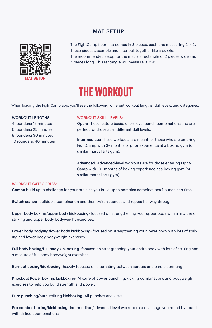### MAT SETUP



The FightCamp floor mat comes in 8 pieces, each one measuring 2' x 2'. These pieces assemble and interlock together like a puzzle. The recommended setup for the mat is a rectangle of 2 pieces wide and 4 pieces long. This rectangle will measure 8' x 4'.

# THE WORKOUT

When loading the FightCamp app, you'll see the following: different workout lengths, skill levels, and categories.

#### WORKOUT LENGTHS:

4 rounders: 15 minutes 6 rounders: 25 minutes 8 rounders: 30 minutes 10 rounders: 40 minutes

#### WORKOUT SKILL LEVELS:

Open: These feature basic, entry-level punch combinations and are perfect for those at all different skill levels.

Intermediate: These workouts are meant for those who are entering FightCamp with 3+ months of prior experience at a boxing gym (or similar martial arts gym).

Advanced: Advanced-level workouts are for those entering Fight-Camp with 10+ months of boxing experience at a boxing gym (or similar martial arts gym).

#### WORKOUT CATEGORIES:

Combo build up- a challenge for your brain as you build up to complex combinations 1 punch at a time.

Switch stance- buildup a combination and then switch stances and repeat halfway through.

Upper body boxing/upper body kickboxing- focused on strengthening your upper body with a mixture of striking and upper body bodyweight exercises.

Lower body bodying/lower body kickboxing- focused on strengthening your lower body with lots of striking and lower body bodyweight exercises.

Full body boxing/full body kickboxing- focused on strengthening your entire body with lots of striking and a mixture of full body bodyweight exercises.

Burnout boxing/kickboxing- heavily focused on alternating between aerobic and cardio sprinting.

Knockout Power boxing/kickboxing- Mixture of power punching/kicking combinations and bodyweight exercises to help you build strength and power.

Pure punching/pure striking kickboxing- All punches and kicks.

Pro combos boxing/kickboxing- Intermediate/advanced level workout that challenge you round by round with difficult combinations.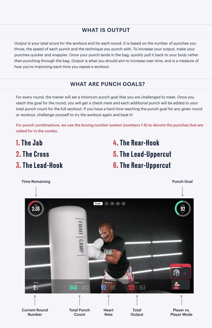## WHAT IS OUTPUT

Output is your total score for the workout and for each round. It is based on the number of punches you throw, the speed of each punch and the technique you punch with. To increase your output, make your punches quicker and snappier. Once your punch lands in the bag, quickly pull it back to your body rather than punching through the bag. Output is what you should aim to increase over time, and is a measure of how you're improving each time you repeat a workout.

## WHAT ARE PUNCH GOALS?

For every round, the trainer will set a minimum punch goal that you are challenged to meet. Once you reach this goal for the round, you will get a check mark and each additional punch will be added to your total punch count for the full workout. If you have a hard time reaching the punch goal for any given round or workout, challenge yourself to try the workout again and beat it!

For punch combinations, we use the boxing number system (numbers 1-6) to denote the punches that are called for in the combo.

1. The Jab 2. The Cross 3. The Lead-Hook 4. The Rear-Hook 5. The Lead-Uppercut 6. The Rear-Uppercut